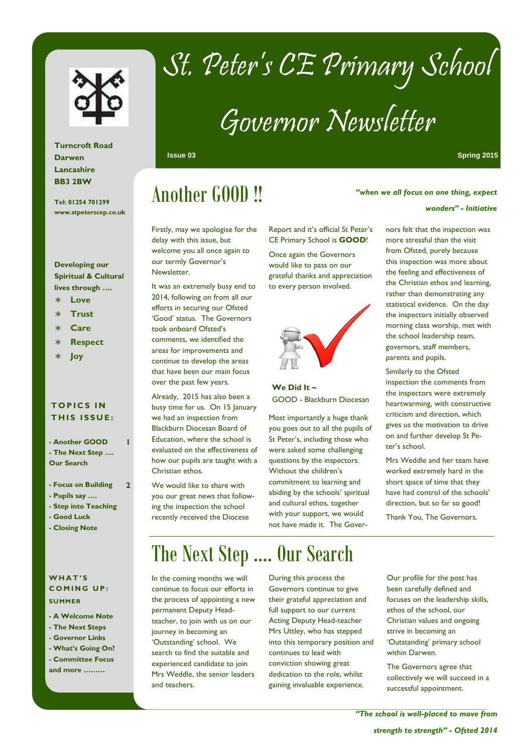

## St. Peter's CE Primary School

# Governor Newsletter

**Issue 03 Spring 2015** 

*wonders" - Initiative* 

### Another GOOD !!

Firstly, may we apologise for the delay with this issue, but welcome you all once again to our termly Governor's Newsletter.

It was an extremely busy end to 2014, following on from all our efforts in securing our Ofsted 'Good' status. The Governors took onboard Ofsted's comments, we identified the areas for improvements and continue to develop the areas that have been our main focus over the past few years.

Already, 2015 has also been a busy time for us. On 15 January we had an inspection from Blackburn Diocesan Board of Education, where the school is evaluated on the effectiveness of how our pupils are taught with a Christian ethos.

We would like to share with you our great news that following the inspection the school recently received the Diocese

#### Report and it's official St Peter's CE Primary School is **GOOD**!

Once again the Governors would like to pass on our grateful thanks and appreciation to every person involved.



**We Did It ~**  GOOD - Blackburn Diocesan

Most importantly a huge thank you goes out to all the pupils of St Peter's, including those who were asked some challenging questions by the inspectors. Without the children's commitment to learning and abiding by the schools' spiritual and cultural ethos, together with your support, we would not have made it. The Governors felt that the inspection was more stressful than the visit from Ofsted, purely because this inspection was more about the feeling and effectiveness of the Christian ethos and learning, rather than demonstrating any statistical evidence. On the day the inspectors initially observed morning class worship, met with the school leadership team, governors, staff members, parents and pupils.

*"when we all focus on one thing, expect* 

Similarly to the Ofsted inspection the comments from the inspectors were extremely heartwarming, with constructive criticism and direction, which gives us the motivation to drive on and further develop St Peter's school.

Mrs Weddle and her team have worked extremely hard in the short space of time that they have had control of the schools' direction, but so far so good!

Thank You, The Governors.

**Turncroft Road Darwen Lancashire BB3 2BW** 

**Tel: 01254 701299 www.stpeterscep.co.uk** 

#### **Developing our Spiritual & Cultural lives through ….**

- ∗ **Love**
- ∗ **Trust**
- ∗ **Care**
- ∗ **Respect**
- ∗ **Joy**

### **T O P I C S I N THIS ISSUE:**

**- Another GOOD - The Next Step …. Our Search** 

**1** 

 $\overline{2}$ 

- **Focus on Building**
- **Pupils say ….**
- **Step into Teaching**
- **Good Luck**
- **Closing Note**

#### **W H A T ' S COMING UP: SUMMER**

- **A Welcome Note**
- **The Next Steps**
- **Governor Links**
- **What's Going On? - Committee Focus**

**and more ………** 

## The Next Step …. Our Search

In the coming months we will continue to focus our efforts in the process of appointing a new permanent Deputy Headteacher, to join with us on our journey in becoming an 'Outstanding' school. We search to find the suitable and experienced candidate to join Mrs Weddle, the senior leaders and teachers.

During this process the Governors continue to give their grateful appreciation and full support to our current Acting Deputy Head-teacher Mrs Uttley, who has stepped into this temporary position and continues to lead with conviction showing great dedication to the role, whilst gaining invaluable experience.

Our profile for the post has been carefully defined and focuses on the leadership skills, ethos of the school, our Christian values and ongoing strive in becoming an 'Outstanding' primary school within Darwen.

The Governors agree that collectively we will succeed in a successful appointment.